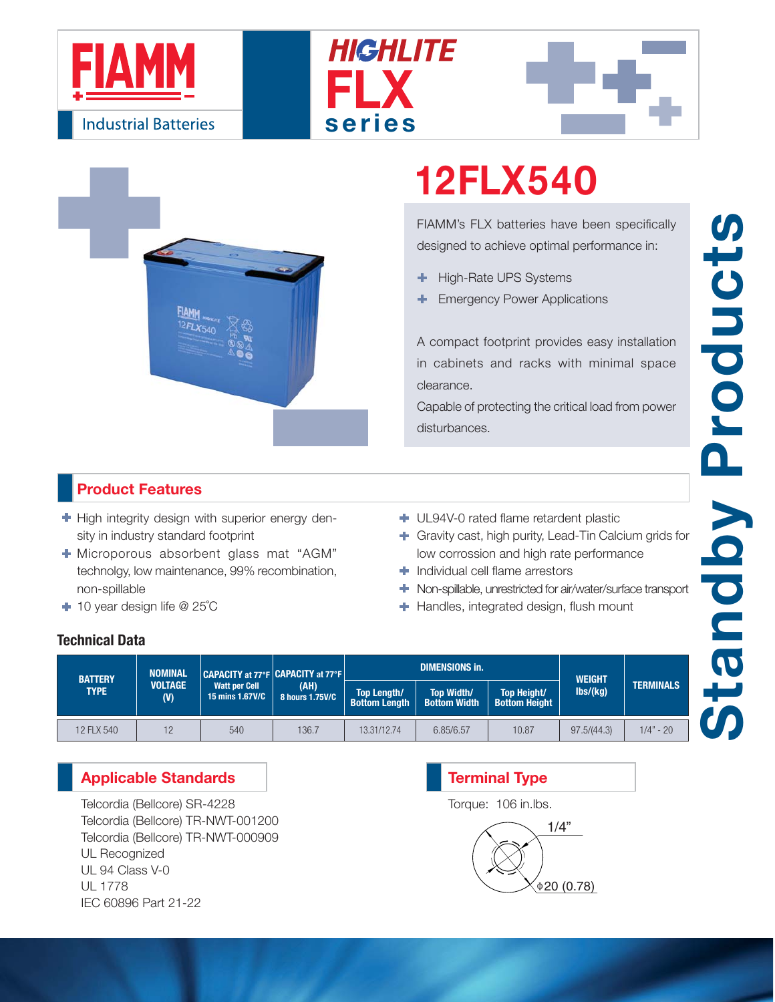







# **12FLX540**

FIAMM's FLX batteries have been specifically designed to achieve optimal performance in:

- High-Rate UPS Systems ٠
- Emergency Power Applications

A compact footprint provides easy installation in cabinets and racks with minimal space clearance.

Capable of protecting the critical load from power disturbances.

### **Product Features**

 $\blacktriangleright$  High integrity design with superior energy density in industry standard footprint

- Microporous absorbent glass mat "AGM" technolgy, low maintenance, 99% recombination, non-spillable
- 10 year design life @ 25˚C
- UL94V-0 rated flame retardent plastic
- Gravity cast, high purity, Lead-Tin Calcium grids for low corrossion and high rate performance
- **Individual cell flame arrestors**
- Non-spillable, unrestricted for air/water/surface transport
- **+** Handles, integrated design, flush mount

### **Technical Data**

| <b>BATTERY</b><br><b>TYPE</b> | <b>NOMINAL</b><br><b>VOLTAGE</b><br>(V) | CAPACITY at 77°F CAPACITY at 77°F<br><b>Watt per Cell</b><br>15 mins 1.67V/C | (AH)<br>8 hours 1.75V/C |                                            | <b>DIMENSIONS in.</b>                    | <b>WEIGHT</b>                       |               |                  |
|-------------------------------|-----------------------------------------|------------------------------------------------------------------------------|-------------------------|--------------------------------------------|------------------------------------------|-------------------------------------|---------------|------------------|
|                               |                                         |                                                                              |                         | <b>Top Length/</b><br><b>Bottom Length</b> | <b>Top Width/</b><br><b>Bottom Width</b> | Top Height/<br><b>Bottom Height</b> | $\frac{1}{s}$ | <b>TERMINALS</b> |
| 12 FLX 540                    | 12                                      | 540                                                                          | 136.7                   | 13.31/12.74                                | 6.85/6.57                                | 10.87                               | 97.5/(44.3)   | $1/4" - 20'$     |

### **Applicable Standards**

Telcordia (Bellcore) SR-4228 Telcordia (Bellcore) TR-NWT-001200 Telcordia (Bellcore) TR-NWT-000909 UL Recognized UL 94 Class V-0 UL 1778 IEC 60896 Part 21-22

## 1/4"  $0.78$ **Terminal Type** Torque: 106 in.lbs.